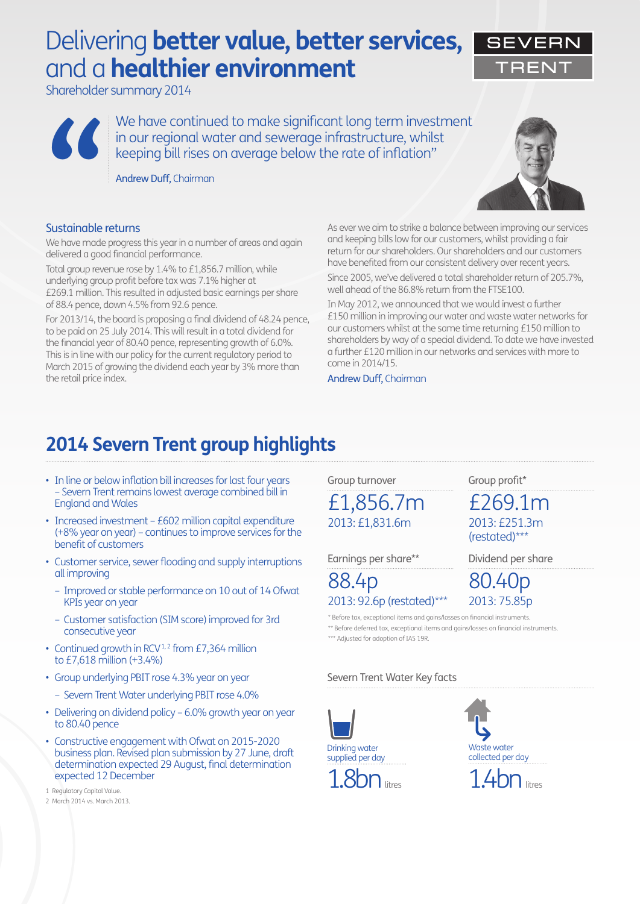# Delivering **better value, better services,**  and a **healthier environment**

Shareholder summary 2014

We have continued to make significant long term investment in our regional water and sewerage infrastructure, whilst Keeping bill rises on average infrastructure, while<br>
keeping bill rises on average below the rate of inflation"<br> **Andrew Duff, Chairman**<br> **Sustainable returns** 

Andrew Duff, Chairman

### Sustainable returns

We have made progress this year in a number of areas and again delivered a good financial performance.

Total group revenue rose by 1.4% to £1,856.7 million, while underlying group profit before tax was 7.1% higher at £269.1 million. This resulted in adjusted basic earnings per share of 88.4 pence, down 4.5% from 92.6 pence.

For 2013/14, the board is proposing a final dividend of 48.24 pence, to be paid on 25 July 2014. This will result in a total dividend for the financial year of 80.40 pence, representing growth of 6.0%. This is in line with our policy for the current regulatory period to March 2015 of growing the dividend each year by 3% more than the retail price index.



As ever we aim to strike a balance between improving our services and keeping bills low for our customers, whilst providing a fair return for our shareholders. Our shareholders and our customers have benefited from our consistent delivery over recent years. Since 2005, we've delivered a total shareholder return of 205.7%, well ahead of the 86.8% return from the FTSE100.

In May 2012, we announced that we would invest a further £150 million in improving our water and waste water networks for our customers whilst at the same time returning £150 million to shareholders by way of a special dividend. To date we have invested a further £120 million in our networks and services with more to come in 2014/15.

Andrew Duff, Chairman

## **2014 Severn Trent group highlights**

- In line or below inflation bill increases for last four years – Severn Trent remains lowest average combined bill in England and Wales
- Increased investment £602 million capital expenditure (+8% year on year) – continues to improve services for the benefit of customers
- Customer service, sewer flooding and supply interruptions all improving
	- Improved or stable performance on 10 out of 14 Ofwat KPIs year on year
	- Customer satisfaction (SIM score) improved for 3rd consecutive year
- Continued growth in RCV<sup>1,2</sup> from £7,364 million to £7,618 million (+3.4%)
- Group underlying PBIT rose 4.3% year on year
	- Severn Trent Water underlying PBIT rose 4.0%
- Delivering on dividend policy 6.0% growth year on year to 80.40 pence
- Constructive engagement with Ofwat on 2015-2020 business plan. Revised plan submission by 27 June, draft determination expected 29 August, final determination expected 12 December

1 Regulatory Capital Value.

Group turnover

2013: £1,831.6m £1,856.7m

Earnings per share\*\*

### 2013: 92.6p (restated)\*\*\* 88.4p 80.40p

2013: 75.85p \* Before tax, exceptional items and gains/losses on financial instruments.

\*\* Before deferred tax, exceptional items and gains/losses on financial instruments.

\*\*\* Adjusted for adoption of IAS 19R.

### Severn Trent Water Key facts





Group profit\*

2013: £251.3m (restated)\*\*\*

£269.1m

Dividend per share





<sup>2</sup> March 2014 vs. March 2013.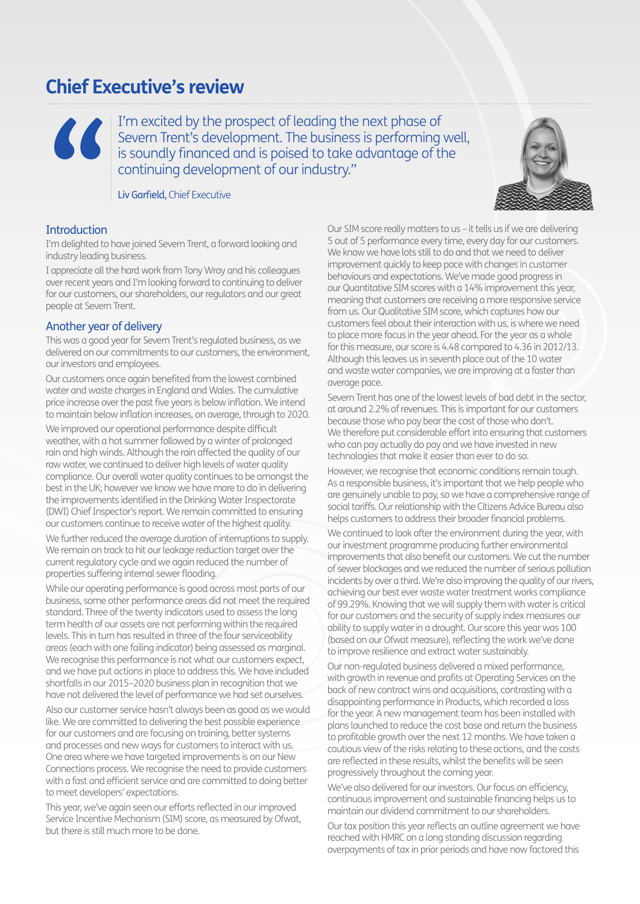### **Chief Executive's review**

I'm excited by the prospect of leading the next phase of Severn Trent's development. The business is performing well, is soundly financed and is poised to take advantage of the continuing development of our industry."

Liv Garfield, Chief Executive

### Introduction

**"**

I'm delighted to have joined Severn Trent, a forward looking and industry leading business.

I appreciate all the hard work from Tony Wray and his colleagues over recent years and I'm looking forward to continuing to deliver for our customers, our shareholders, our regulators and our great people at Severn Trent.

### Another year of delivery

This was a good year for Severn Trent's regulated business, as we delivered on our commitments to our customers, the environment, our investors and employees.

Our customers once again benefited from the lowest combined water and waste charges in England and Wales. The cumulative price increase over the past five years is below inflation. We intend to maintain below inflation increases, on average, through to 2020.

We improved our operational performance despite difficult weather, with a hot summer followed by a winter of prolonged rain and high winds. Although the rain affected the quality of our raw water, we continued to deliver high levels of water quality compliance. Our overall water quality continues to be amongst the best in the UK; however we know we have more to do in delivering the improvements identified in the Drinking Water Inspectorate (DWI) Chief Inspector's report. We remain committed to ensuring our customers continue to receive water of the highest quality.

We further reduced the average duration of interruptions to supply. We remain on track to hit our leakage reduction target over the current regulatory cycle and we again reduced the number of properties suffering internal sewer flooding.

While our operating performance is good across most parts of our business, some other performance areas did not meet the required standard. Three of the twenty indicators used to assess the long term health of our assets are not performing within the required levels. This in turn has resulted in three of the four serviceability areas (each with one failing indicator) being assessed as marginal. We recognise this performance is not what our customers expect, and we have put actions in place to address this. We have included shortfalls in our 2015–2020 business plan in recognition that we have not delivered the level of performance we had set ourselves.

Also our customer service hasn't always been as good as we would like. We are committed to delivering the best possible experience for our customers and are focusing on training, better systems and processes and new ways for customers to interact with us. One area where we have targeted improvements is on our New Connections process. We recognise the need to provide customers with a fast and efficient service and are committed to doing better to meet developers' expectations.

This year, we've again seen our efforts reflected in our improved Service Incentive Mechanism (SIM) score, as measured by Ofwat, but there is still much more to be done.

Our SIM score really matters to us – it tells us if we are delivering 5 out of 5 performance every time, every day for our customers. We know we have lots still to do and that we need to deliver improvement quickly to keep pace with changes in customer behaviours and expectations. We've made good progress in our Quantitative SIM scores with a 14% improvement this year, meaning that customers are receiving a more responsive service from us. Our Qualitative SIM score, which captures how our customers feel about their interaction with us, is where we need to place more focus in the year ahead. For the year as a whole for this measure, our score is 4.48 compared to 4.36 in 2012/13. Although this leaves us in seventh place out of the 10 water and waste water companies, we are improving at a faster than average pace.

Severn Trent has one of the lowest levels of bad debt in the sector, at around 2.2% of revenues. This is important for our customers because those who pay bear the cost of those who don't. We therefore put considerable effort into ensuring that customers who can pay actually do pay and we have invested in new technologies that make it easier than ever to do so.

However, we recognise that economic conditions remain tough. As a responsible business, it's important that we help people who are genuinely unable to pay, so we have a comprehensive range of social tariffs. Our relationship with the Citizens Advice Bureau also helps customers to address their broader financial problems.

We continued to look after the environment during the year, with our investment programme producing further environmental improvements that also benefit our customers. We cut the number of sewer blockages and we reduced the number of serious pollution incidents by over a third. We're also improving the quality of our rivers, achieving our best ever waste water treatment works compliance of 99.29%. Knowing that we will supply them with water is critical for our customers and the security of supply index measures our ability to supply water in a drought. Our score this year was 100 (based on our Ofwat measure), reflecting the work we've done to improve resilience and extract water sustainably.

Our non-regulated business delivered a mixed performance, with growth in revenue and profits at Operating Services on the back of new contract wins and acquisitions, contrasting with a disappointing performance in Products, which recorded a loss for the year. A new management team has been installed with plans launched to reduce the cost base and return the business to profitable growth over the next 12 months. We have taken a cautious view of the risks relating to these actions, and the costs are reflected in these results, whilst the benefits will be seen progressively throughout the coming year.

We've also delivered for our investors. Our focus on efficiency, continuous improvement and sustainable financing helps us to maintain our dividend commitment to our shareholders.

Our tax position this year reflects an outline agreement we have reached with HMRC on a long standing discussion regarding overpayments of tax in prior periods and have now factored this

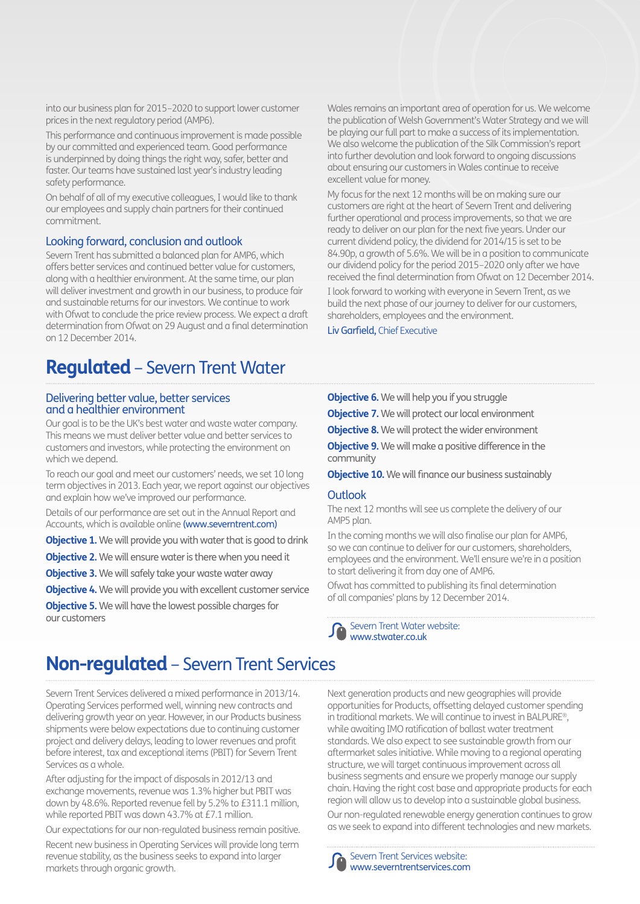into our business plan for 2015–2020 to support lower customer prices in the next regulatory period (AMP6).

This performance and continuous improvement is made possible by our committed and experienced team. Good performance is underpinned by doing things the right way, safer, better and faster. Our teams have sustained last year's industry leading safety performance.

On behalf of all of my executive colleagues, I would like to thank our employees and supply chain partners for their continued commitment.

### Looking forward, conclusion and outlook

Severn Trent has submitted a balanced plan for AMP6, which offers better services and continued better value for customers, along with a healthier environment. At the same time, our plan will deliver investment and growth in our business, to produce fair and sustainable returns for our investors. We continue to work with Ofwat to conclude the price review process. We expect a draft determination from Ofwat on 29 August and a final determination on 12 December 2014.

### **Regulated** – Severn Trent Water

### Delivering better value, better services and a healthier environment

Our goal is to be the UK's best water and waste water company. This means we must deliver better value and better services to customers and investors, while protecting the environment on which we depend.

To reach our goal and meet our customers' needs, we set 10 long term objectives in 2013. Each year, we report against our objectives and explain how we've improved our performance.

Details of our performance are set out in the Annual Report and Accounts, which is available online (www.severntrent.com)

**Objective 1.** We will provide you with water that is good to drink

**Objective 2.** We will ensure water is there when you need it

**Objective 3.** We will safely take your waste water away

**Objective 4.** We will provide you with excellent customer service

**Objective 5.** We will have the lowest possible charges for our customers

## **Non-regulated** – Severn Trent Services

Severn Trent Services delivered a mixed performance in 2013/14. Operating Services performed well, winning new contracts and delivering growth year on year. However, in our Products business shipments were below expectations due to continuing customer project and delivery delays, leading to lower revenues and profit before interest, tax and exceptional items (PBIT) for Severn Trent Services as a whole.

After adjusting for the impact of disposals in 2012/13 and exchange movements, revenue was 1.3% higher but PBIT was down by 48.6%. Reported revenue fell by 5.2% to £311.1 million, while reported PBIT was down 43.7% at £7.1 million.

Our expectations for our non-regulated business remain positive. Recent new business in Operating Services will provide long term revenue stability, as the business seeks to expand into larger markets through organic growth.

Wales remains an important area of operation for us. We welcome the publication of Welsh Government's Water Strategy and we will be playing our full part to make a success of its implementation. We also welcome the publication of the Silk Commission's report into further devolution and look forward to ongoing discussions about ensuring our customers in Wales continue to receive excellent value for money.

My focus for the next 12 months will be on making sure our customers are right at the heart of Severn Trent and delivering further operational and process improvements, so that we are ready to deliver on our plan for the next five years. Under our current dividend policy, the dividend for 2014/15 is set to be 84.90p, a growth of 5.6%. We will be in a position to communicate our dividend policy for the period 2015–2020 only after we have received the final determination from Ofwat on 12 December 2014.

I look forward to working with everyone in Severn Trent, as we build the next phase of our journey to deliver for our customers, shareholders, employees and the environment.

Liv Garfield, Chief Executive

**Objective 6.** We will help you if you struggle

**Objective 7.** We will protect our local environment

**Objective 8.** We will protect the wider environment **Objective 9.** We will make a positive difference in the community

**Objective 10.** We will finance our business sustainably

### **Outlook**

The next 12 months will see us complete the delivery of our AMP5 plan.

In the coming months we will also finalise our plan for AMP6, so we can continue to deliver for our customers, shareholders, employees and the environment. We'll ensure we're in a position to start delivering it from day one of AMP6.

Ofwat has committed to publishing its final determination of all companies' plans by 12 December 2014.

Severn Trent Water website: www.stwater.co.uk

Next generation products and new geographies will provide opportunities for Products, offsetting delayed customer spending in traditional markets. We will continue to invest in BALPURE®, while awaiting IMO ratification of ballast water treatment standards. We also expect to see sustainable growth from our aftermarket sales initiative. While moving to a regional operating structure, we will target continuous improvement across all business segments and ensure we properly manage our supply chain. Having the right cost base and appropriate products for each region will allow us to develop into a sustainable global business.

Our non-regulated renewable energy generation continues to grow as we seek to expand into different technologies and new markets.



Severn Trent Services website: www.severntrentservices.com